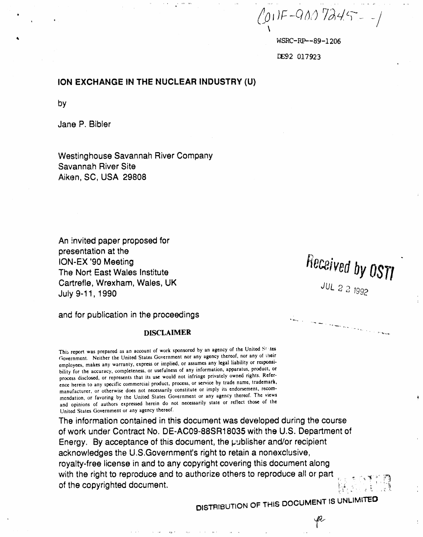$^{\prime\prime}$ OI)F-9007245--1 \

WSRC-RP--89-1206 PE92 017923

# **I**O**N EXCHANGE** IN **THE NUCLEAR INDUSTRY (U)**

by

Jane **P**. B**i**bler

Westinghouse Sa**va**nnah River Company Savannah River Site Aiken, SC, USA 29808

An invited paper prop**o**sed for presentation at the **<sup>I</sup>**ON**-**EX **'9**<sup>0</sup> **<sup>M</sup>**eetin**<sup>g</sup>** ;j\_ ;\_' O&voby0d S7**7** The Nort East Wales Institute Cartr**e**fl**e**, Wre**x**ham, **W**ale**s**, **UK** JUL 2, 2 1992 July 9-11, 1990

, ,.,,,..,..

and for publication in the proceedings

# **DIS**C**LAIME**R .....•,--.......

This report was prepared as an account of work approach any means: thereof not any of their Government. Neither the United States Obvernment has any agency there are not expected. employees, makes any warranty, express or implied, or assumes any legal liability or responsibility for the accuracy, completeness, or usefulness of any information, apparatus, product, or bility for the accuracy, completeness, or assessment and infering privately owned rights. Referprocess disclosed, or represents that its use would not milling which he had a small trademark ence herein to any specific commercial product, process, or service by trade name, trademark, manufacturer, or otherwise does not necessarily constitute or imply its endorsement, recommend**a**tion, **or fa**vori**n**g b**y t**h**e** Uni**t**ed S**tate**s Go**vernme**n**t** o**r a**n**y** agenc**y** th**er**e**of**. The vi**ews** i **and**, o**pin**ion**s o**f a**ut**h**or**\_ **ex**p**re**s**s**ed h**e**r**e**in **do** n**o**t nec**e**ss**ari**l**y st**a**te or** reflect th**ose** o**f t**h**e** United States Government or any agency thereof.

The inform**a**tion contain**e**d in this document was developed during the course of work under Contract No.. DE-AC09.-88SR18035 with th**e** U.S. Department of Ene**r**gy. By acceptance of this document, the publisher and/or rec**i**pient acknowledg**e**s the U,S.Government's right to retain a nonexc**l**usive, royalty-fre**e** license in and to any copyright coveri**n**g this document al**o**ng with the right to reproduce and to authorize others to reproduce all or part of the copyrighted document. of the copyrighted document, i,  $\sum_{i=1}^n \sum_{j=1}^n \sum_{j=1}^n \sum_{j=1}^n \sum_{j=1}^n \sum_{j=1}^n \sum_{j=1}^n \sum_{j=1}^n \sum_{j=1}^n \sum_{j=1}^n \sum_{j=1}^n \sum_{j=1}^n \sum_{j=1}^n \sum_{j=1}^n \sum_{j=1}^n \sum_{j=1}^n \sum_{j=1}^n \sum_{j=1}^n \sum_{j=1}^n \sum_{j=1}^n \sum_{j=1}^n$ 

DIS**T**RIBUTION OF THI**S** DO**CU**M**E**NT t**S** U**NL**IM**[**T**E**t\_

ℛ t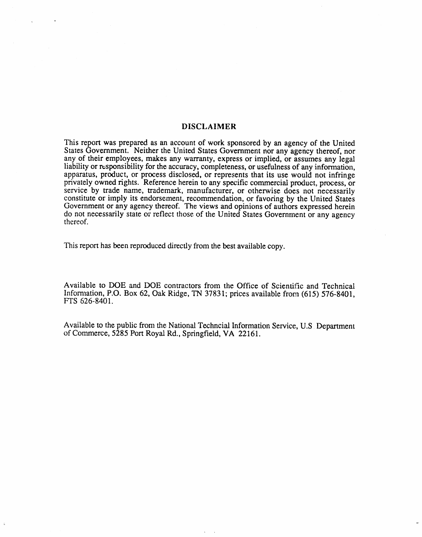# **D**I**SC**L**AIM**E**R**

This report w**a**s prepared as an account of wor**k** sponso**r**ed by an agency of the U**n**ited States Government. Neither the United States Government nor any agency thereof, nor a**n**y of their employees*,* makes any warranty, express or implied, or assumes any legal liability or responsibility for the accuracy, completeness, or usefulness of any information, apparatus, product, or process disclosed, or rep**r**esents that its use would not infringe privately owned rights. Reference herein to an**y** spec**i**fic commercial product, proces**s**, or service by trade name, trademark, manufacturer, or otherwise does not necessarily constitute or imp**l**y its endorse**m**ent, recomme**n**dation, or favoring by the United States Government or a**n**y agency thereof. The views and opinions of authors expressed herein do not necessarily state or reflect those of the United States Government or any agency thereof.

This report has been reproduced directly from the best available copy.

Available to D**O**E and D**OE** contractors from the **O**ffice **o**f Scientific **a**nd **T**echnic**a**l Information, P.O. Box 62, Oak Ridge, TN 37831; prices available from  $(615)$  576-8401, FFS 626-8401.

**A**vailab**l**e to the public from the National Techncial Information Service, U.S Department of Commerce, 5285 Port Royal Rd., Springfield, VA 22161.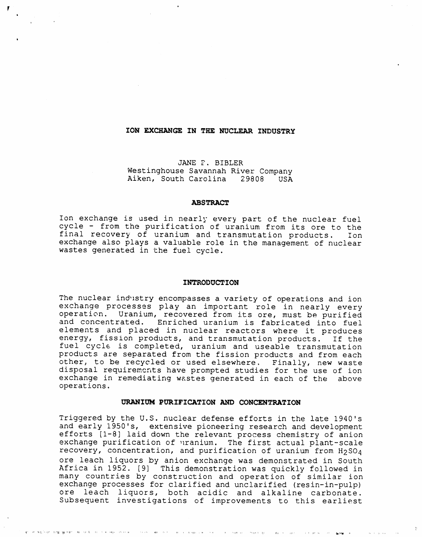# **ION** E**XCHANGE I**N **TH**E **NUCLEAR** I**NDUSTRY**

V

JANE F. BIBLER Westinghouse Savannah River Company Aiken, South Carolina 29808 USA

#### AB**ST**RA**CT**

Ion exchange is used in nearly every part of the nuclear fuel cycle - from the purification of uranium from its ore to the final recovery of uranium and transmutation products. Ion exchange also plays a valuable role in the management of nuclear wastes generated in the fuel cycle.

#### **INTRO**D**U**C**TI**O**N**

The nuclear industry encompasses a variety of operations and ion exchange processes play an important role in nearly every operation. Uranium, recovered from its ore, must be purified and concentrated. Enriched uranium is fabricated into fuel elements and placed in nuclear reactors where it produces energy, fission products, and transmutation products. If the fuel cycle, is completed, uranium and useable transmutation products are separated from the fission products and from each other, to be recycled or used elsewhere. Finally, new waste disposal, requirements have prompted studies for the use of ion exchange in remediating wastes generated in each of the above operations.

## **URANI**U**M PUR**I**FICAT**I**ON AND CONCENTRATION**

Triggered by the U.S. nuclear defense efforts in the late 1940's and early 1950's, extensive pioneering research and development efforts [i-8] laid down the relevant process chemistry of anion exchange purification of uranium. The first actual plant-scale recovery, concentration, and purification of uranium from  $H_2SO_4$ ore leach liquors by anion exchange was demonstrated in South Africa in 1952. [9] This demonstration was quickly followed in many countries by construction and operation of similar ion exchange processes for clarified and unclarified (resin-in-pulp) ore leach liquors, both acidic and alkaline carbonate. Subsequent investigations of improvements to this earliest

the term through the art and the term of the determination of the second term of the second term of the second term of the second term of the second term of the second term of the second term of the second term of the seco

**Andrew Commercial** 

contracts and other companies in approached their

and an engineer remaining one in the house and one of the ac-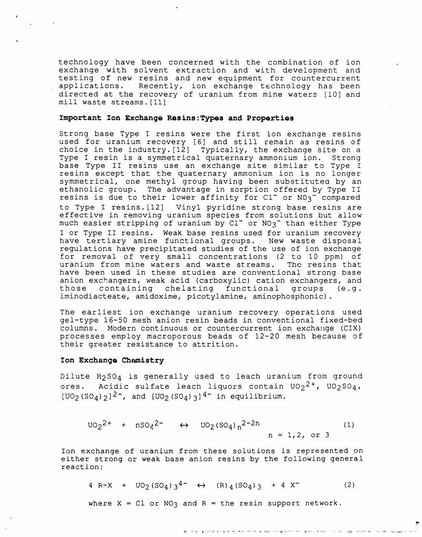technology have been concerned with the combination of ion exchange with solvent extraction and with development and testing of new resins and new equipment for countercur  $\,$  appiications. Recently, ion exchange technology has bee directed at the recovery of uranium from mine waters [i0] and mill waste streams. [II]

### **I**m**p**o**rtant Ion E**x**change** R**esins:Type**s **and Pr**o**pertie**s

Strong base Type I resins were the first ion exchange resins used for uranium recovery [6] and still remain as resins of choice in the industry. [12] Typically, the exchange site on a Type I resin is a symmetrical quaternary ammonium ion. Strong base Type II resins use an exchange site similar to Type I resins except that the quaternary ammonium ion is no longer symmetrical, one methyl group having been substitutea by an ethanolic group. The advantage in sorption offered by Type II resins is due to their lower affinity for  $Cl^-$  or  $NO_3^-$  compared to Type I resins. [12] Vinyl pyridine strong base resins are effective in removing uranium species from solutions but allow much easier stripping of uranium by Cl<sup>-</sup> or NO3<sup>-</sup> than either Type I or Type II resins. Weak base resins used for uranium recovery have tertiary amine functional groups. New waste disposal regulations have precipitated studies of the use of ion exchange for removal of very small concentrations (2 to I0 ppm) of uranium from mine waters and waste streams. The resins that have been used in these studies are conventional strong base anion exchangers, weak acid (carboxylic) cation exchangers, and those containing chelating functional groups (e.g. iminodiacteate, amidoxime, picotylamine, aminophosphonic).

The earliest ion exchange uranium recovery operations used gel-type 16-50 mesh anion resin beads in conventional fixed-bed columns. Modern continuous or countercurrent ion exchange (CIX) processes employ macroporous beads of 12-20 mesh because of their greater resistance to attrition.

#### **I**o**n Exch**a**nge Ch**\_**ni**s**try**

Dilute H<sub>2</sub>SO<sub>4</sub> is generally used to leach uranium from ground ores. Acidic sulfate leach liquors contain  $UO_2^{2+}$ ,  $UO_2SO_4$ ,  $[UO_2(SO_4)_{2}]^2$ , and  $[UO_2(SO_4)_{3}]^4$  in equilibrium.

$$
UO_2^{2+} + nSO_4^{2-} \leftrightarrow UO_2(SO_4)_{n}^{2-2n}
$$
 (1)

Ion exchange of uranium from these solutions is represented on either strong or weak base anion resins by the following general reaction **:**

$$
4 R-X + UO_2 (SO_4) 34- \leftrightarrow (R) 4 (SO_4) 3 + 4 X^-
$$
 (2)

where  $X = CL$  or NO<sub>3</sub> and R = the resin support network.

وتنجاه والأقام والمستعب الاستعباها والأساني التقعيب ومقابل والمترافع المتعارف والمراجعة والمستقار والشاهر والشاراة والاستعمال والا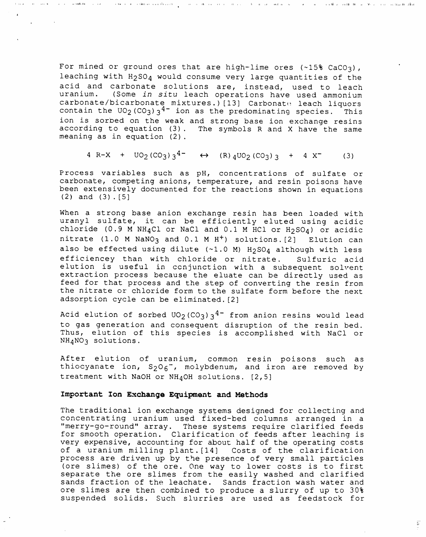For mined or ground ores that are high-lime ores  $(-15\frac{1}{6} \text{ CaCO}_3)$ , leaching with  $H_2SO_4$  would consume very large quantities of the acid and carbonate solutions are, instead, used to leach<br>uranium. (Some in situ leach operations have used ammonium (Some in situ leach operations have used ammonium carbonate/bicarbonate mixtures.) [13] Carbonate leach liquors<br>contain the  $UO_2$  (CO<sub>3</sub>)  $3^{4-}$  ion as the predominating species. This contain the  $UO_2$  (CO<sub>3</sub>)  $3^{4-}$  ion as the predominating species. ion is sorbed on the weak and strong base ion exchange resins according to equation (3) . The symbols R and X have the same meaning as in equation (2).

ന്ന് പറയ്ക്ക് കാണ്ടില് പറയ്ക്ക് കാണ്ടിക്കുന്നത്. പറയ്ക്ക് പറയ്ക്ക് പരിച്ചത്തില് പറയ്ക്കുന്ന പറയ്ക്ക് പറയ്ക്ക് പ

4 R-X +  $UO_2(CO_3)3^{4-}$   $\leftrightarrow$  (R)  $_4UO_2(CO_3)3 + 4X^-$  (3)

Process variables such as pH, concentrations of sulfate or carbonate, competing anions, temperature, and resin poisons have been extensively documented for the reactions shown in equations (2) and (3). [5]

When a strong base anion exchange resin has been loaded with uranyl sulfate, it can be efficiently eluted using acidic chloride (0.9 M NH<sub>4</sub>Cl or NaCl and 0.1 M HCl or H<sub>2</sub>SO<sub>4</sub>) or acidic nitrate (1.0 M NaNO3 and 0.1 M H<sup>+</sup>) solutions. [2] Elution can also be effected using dilute  $(-1.0$  M)  $H_2SO_4$  although with less efficiencey than with chloride or nitrate. Sulfuric acid elution is useful in ccnjunction with a subsequent solvent extraction process because the eluate can be directly used as feed for that process and the step of converting the resin from the nitrate or chloride form to the sulfate form before the next adsorption cycle can be eliminated. [2]

Acid elution of sorbed  $UO_2(CO_3)3^{4-}$  from anion resins would lead to gas generation and consequent disruption of the resin bed. Thus, elution of this species is accomplished with NaC1 or NH<sub>4</sub>NO<sub>3</sub> solutions.

After elution of uranium, common resin poisons such as thiocyanate ion,  $S_2O_6^-$ , molybdenum, and iron are removed by treatment with NaOH or NH4OH solutions. [2,5]

## **Important Ion E**x**chang**e **Equipment and Meth**o**ds**

The traditional ion exchange systems designed for collecting and concentrating uranium used fixed-bed columns arranged in a "merry-go-round" array. These systems require clarified feeds for smooth operation. Clarification of feeds after leaching is very expensive, accounting for about half of the operating costs of a uranium milling plant. [14] Costs of the clarification process are driven up by the presence of very small particles (ore slimes) of the ore. One way to lower costs is to first separate the ore slimes from the easily washed and clarified sands fraction of the leachate. Sands fraction wash water and ore slimes are then combined to produce a slurry of up to 30% suspended solids. Such slurries are used as feedstock for

 $\overline{\Xi}$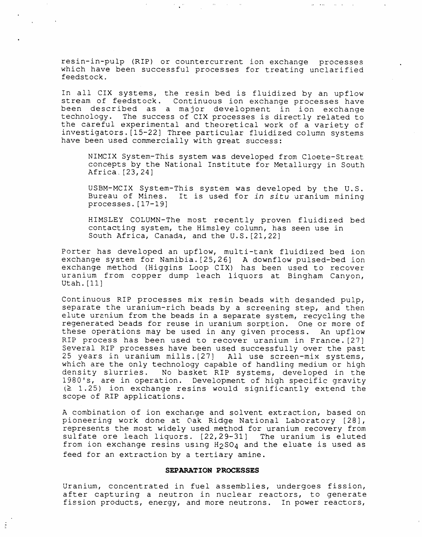resin-in-pulp (RIP) or countercurrent ion exchange processes which have been successful processes for treating unclarified feedstock.

the contract of the contract of

In all CIX systems, the resin bed is fluidized by an upflow stream of feedstock. Continuous ion exchange processes have been described as a major development in ion exchange technology. The success of CIX processes is directly related to the careful experimental and theoretical work of a variety of investigators. [15-22] Three particular fluidized column systems have been used commercially with great success:

NIMCIX System-This system was developed from Cloete-Streat concepts by the National Institute for Metallurgy in South Africa. [23, 24]

USBM-MCIX System-This system was developed by the U.S. Bureau of Mines. It is used for in situ uranium mining processes.  $[17-19]$ 

HIMSLEY COLUMN-The most recently proven fluidized bed contacting system, the Himsley column, has seen use in South Africa, Canada, and the U.S. [21,22]

Porter has developed an upflow, multi-tank fluidized bed ion exchange system for Namibia. [25,26] A downflow pulsed-bed ion exchange method (Higgins Loop CIX) has been used to recover uranium from copper dump leach liquors at Bingham Canyon, Utah. [II]

Continuous RIP processes mix resin beads with desanded pulp, separate the uranium-rich beads by a screening step, and then elute uranium from the beads in a separate system, recycling the regenerated beads for reuse in uranium sorption. One or more of these operations may be used in any given process. An upflow RIP process has been used to recover uranium in France. [27] Several RIP processes have been used successfully over the past 25 years in uranium mills. [27] All use screen-mix systems, which are the only technology capable of handling medium or high density slurries. No basket RIP systems, developed in the 1980's, are in operation. Development of high specific gravity  $({\geq 1.25})$  ion exchange resins would significantly extend the scope of RIP applications.

A combination of ion exchange and solvent extraction, based on pioneering work done at Oak Ridge National Laboratory [28], represents the most widely used method for uranium recovery from sulfate ore leach liquors. [22,29-31] The uranium is eluted from ion exchange resins using  $H_2SO_4$  and the eluate is used as feed for an extraction by a tertiary amine.

#### **SEPARATI**O**N P**R**OCESS**E**S**

Uranium, concentrated in fuel assemblies, undergoes fission, after capturing a neutron in nuclear reactors, to generate fission products, energy, and more neutrons. In power reactors,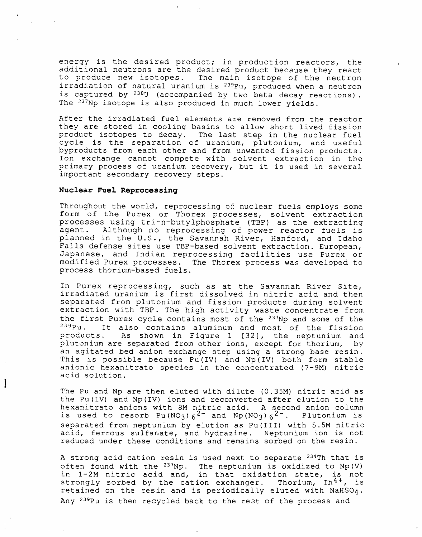energy is the desired product; in production reactors, the additional neutrons are the desired product because they react<br>to produce new isotopes. The main isotope of the neutron The main isotope of the neutron irradiation of natural uranium is 239pu, produced when a neutron is captured by <sup>238</sup>U (accompanied by two beta decay reactions). The  $237$ Np isotope is also produced in much lower yields.

After the irradiated fuel elements are removed from the reactor they are stored in cooling basins to allow short lived fission product isotopes to decay. The last step in the nuclear fuel cycle is the separation of uranium, plutonium, and useful byproducts from each other and from unwanted fission products. Ion exchange cannot compete with solvent extraction in the primary process of uranium recovery, but it is used in several important secondary recovery steps.

# **N**u**clear Fuel Reproc**e**ssin**g

 $\vert$ 

Throughout the world, reprocessing of nuclear fuels employs some form of the Purex or Thorex processes, solvent extraction processes using tri-n-butylphosphate (TBP) as the extracting agent. Although no reprocessing of power reactor fuels is planned in the U.S., the Savannah River, Hanford, and Idaho Falls defense sites use TBP-based solvent extraction. European, Japanese, and Indian reprocessing facilities use Purex or modified Purex processes. The Thorex process was developed to process thorium-based fuels.

In Purex reprocessing, such as at the Savannah River Site, irradiated uranium is first dissolved in nitric acid and then separated from plutonium and fission products during solvent extraction with TBP. The high activity waste concentrate from the first Purex cycle contains most of the  $237$ Np and some of the  $239$ Pu. It also contains aluminum and most of the fission It also contains aluminum and most of the fission products. As shown in Figure 1 [32], the neptunium and plutonium are separated from other ions, except for thorium, by an agitated bed anion exchange step using a strong base resin. This is possible because Pu(IV) and Np(IV) both form stable anionic hexanitrato species in the concentrated (7-9M) nitric acid solution.

The Pu and Np are then eluted with dilute (0.35M) nitric acid as the Pu (IV) and Np(IV) ions and reconverted after elution to the hexanitrato anions with 8M nitric acid. A second anion column is used to resorb Pu(NO<sub>3</sub>)  $6^{2-}$  and Np(NO<sub>3</sub>)  $6^{2-}$ . Plutonium is separated from neptunium by elution as Pu(III) with 5.5M nitric acid, ferrous sulfamate, and hydrazine. Neptunium ion is not reduced under these conditions and remains sorbed on the resin.

A strong acid cation resin is used next to separate 234Th that is often found with the  $237$ Np. The neptunium is oxidized to Np(V) in I-2M nitric acid and, in that oxidation state, is not strongly sorbed by the cation exchanger. Thorium,  $Th^{4+}$ , is retained on the resin and is periodically eluted with NaHSO $_4$ . Any <sup>239</sup>Pu is then recycled back to the rest of the process and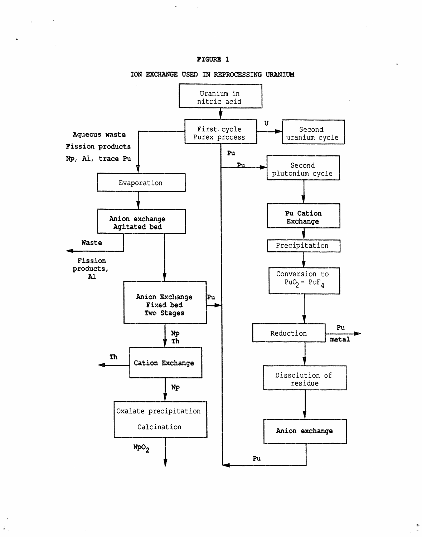

 $\bullet$ 



÷,

ă.

ION EXCHANGE USED IN REPROCESSING URANIUM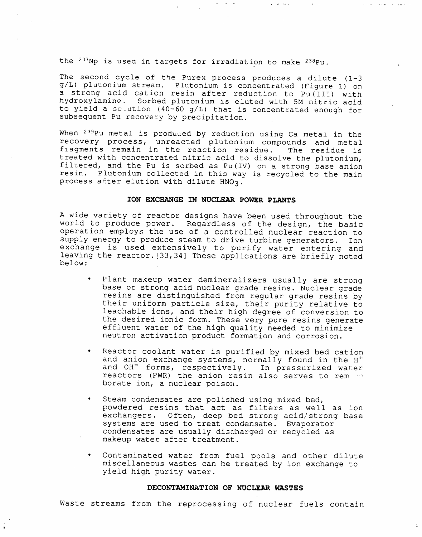## the <sup>237</sup>Np is used in targets for irradiation to make <sup>238</sup>Pu.

The second cycle of the Purex process produces a dilute (1-3<br>g/L) plutonium stream. Plutonium is concentrated (Figure 1) on g/L) plutonium stream. Plutonium is concentrated (Figure i) on a strong acid cation resin after reduction to Pu(III) with hydroxylamine. Sorbed plutonium is eluted with 5M nitric acid to yield a soution (40-60 g/L) that is concentrated enough for subsequent Pu recovery by precipitation.

 $\mathbf{m}^{\prime}=\mathbf{m}^{\prime}=\mathbf{m}$ 

the main to addition that the additional

When <sup>239</sup>Pu metal is produced by reduction using Ca metal in the recovery process, unreacted plutonium compounds and metal fragments remain in the reaction residue. The residue is treated with concentrated nitric acid to dissolve the plutonium, filtered, and the Pu is sorbed as Pu(IV) on a strong base anion resin. Plutonium collected in this way is recycled to the main process after elution with dilute HNO3.

## IO**N EXCHANGE IN NUCLEAR POWER PLANTS**

A wide variety of reactor designs have been used throughout the world to produce power. Regardless of the design, the basic operation employs the use of a controlled nuclear reaction to supply energy to produce steam to drive turbine generators. Ion exchange is used extensively to purify water entering and leaving the reactor. [33,34] These applications are briefly noted below:

- Plant makeup water demineralizers usually are strong base or strong acid nuclear grade resins. Nuclear grade resins are distinguished from regular grade resins by their uniform particle size, their purity relative to leachable ions, and their high degree of conversion to the desired ionic form. These very pure resins generate effluent water of the high quality needed to minimize neutron activation product formation and corrosion.
- Reactor coolant water is purified by mixed bed cation and anion exchange systems, normally found in the  $H^+$  and  $OH^-$  forms, respectively. In pressurized water and OH<sup>-</sup> forms, respectively. reactors (PWR) the anion resin also serves to rem borate ion, a nuclear poison.
- Steam condensates are polished using mixed bed, powdered resins that act as filters as well as ion exchangers. Often, deep bed strong acid/strong base systems are used to treat condensate. Evaporator condensates are usually discharged or recycled as makeup water after treatment.
- Contaminated water from fuel pools and other dilute miscellaneous wastes can be treated by ion exchange to yield high purity water.

### **DEC**O**NTAM**I**NATI**O**N** O**F N**U**CLE**A**R WASTES**

Waste streams from the reprocessing of nuclear fuels contain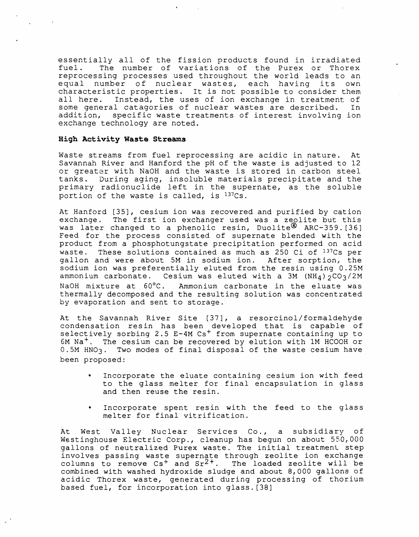essentially all of the fission products found in irradiated fuel. The number of variations of the Purex or Thore reprocessing processes used throughout the world leads to an equal number of nuclear wastes, each having its own characteristic properties. It is not possible to consider them all here. Instead, the uses of ion exchange in treatment of<br>some general catagories of nuclear wastes are described. In some general catagories of nuclear wastes are described. addition, specific waste treatments of interest involving ion exchange technology are noted.

#### **High Activity Wast**e **Str**e**am**s

Waste streams from fuel reprocessing are acidic in nature. At Savannah River and Hanford the pH of the waste is adjusted to 12 or greater with NaOH and the waste is stored in carbon steel tanks. During aging, insoluble materials precipitate and the primary radionuclide left in the supernate, as the soluble portion of the waste is called, is  $137Cs$ .

At Hanford [35], cesium ion was recovered and purified by cation exchange. The first ion exchanger used was a zeolite but this was later changed to a phenolic resin, Duolite  $\&$  ARC-359. [36] Feed for the process consisted of supernate blended with the product from a phosphotungstate precipitation performed on acid waste. These solutions contained as much as 250 Ci of 137Cs per gallon and were about 5M in sodium ion. After sorption, the sodium ion was preferentially eluted from the resin using 0.25M ammonium carbonate. Cesium was eluted with a 3M  $(NH_4)$   $2CO_3/2M$ NaOH mixture at 60°C. Ammonium carbonate in the eluate was thermally decomposed and the resulting solution was concentrated by evaporation and sent to storage.

At the Savannah River Site [37], a resorcinol/formaldehyde condensation resin has been developed that is capable of selectively sorbing 2.5 E-4M Cs' from supernate containing up to 6M  $\text{Na}^+$ . The cesium can be recovered by elution with 1M HCOOH or  $0.5M$  HNO<sub>3</sub>. Two modes of final disposal of the waste cesium have been proposed:

- Incorporate the eluate containing cesium ion with feed to the glass melter for final encapsulation in glass and then reuse the resin.
- Incorporate spent resin with the feed to the glass melter for final vitrification.

At West Valley Nuclear Services Co., a subsidiary of Westinghouse Electric Corp., cleanup has begun on about 550,000 gallons of neutralized Purex waste. The initial treatment step involves passing waste supernate through zeolite ion exchange columns to remove  $Cs^+$  and  $Sr^{2+}$ . The loaded zeolite will be combined with washed hydroxide sludge and about 8,000 gallons of acidic Thorex waste, generated during processing of thorium based fuel, for incorporation into glass. [38]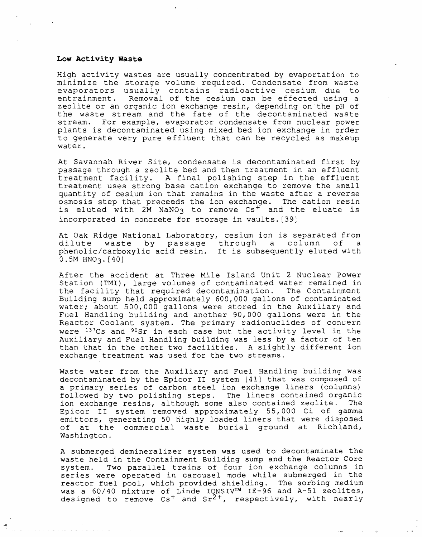#### **Low Activity Wast**e

High activity wastes are usually concentrated by evaportation to minimize the storage volume required. Condensate from waste evaporators usually contains radioactive cesium due to<br>entrainment. Removal of the cesium can be effected using a Removal of the cesium can be effected using a zeolite or an organic ion exchange resin, depending on the pH of the waste stream and the fate of the decontaminated waste stream. For example, evaporator condensate from nuclear power plants is decontaminated using mixed bed ion exchange in order to generate very pure effluent that can be recycled as makeup water.

At Savannah River Site, condensate is decontaminated first by passage through a zeolite bed and then treatment in an effluent treatment facility. A final polishing step in the effluent treatment uses strong base cation exchange to remove the small quantity of cesium ion that remains in the waste after a reverse osmosis step that preceeds the ion exchange. The cation resin is eluted with 2M NaNO3 to remove  $Cs<sup>+</sup>$  and the eluate is incorporated in concrete for storage in vaults. [39]

At Oak Ridge National Laboratory, cesium ion is separated from dilute waste by passage through a column phenolic/carboxylic acid resin. It is subsequently eluted with  $0.5M$  HNO<sub>3</sub>. [40]

After the accident at Three Mile Island Unit 2 Nuclear Power Station (TMI), large volumes of contaminated water remained in the facility that required decontamination. The Containment Building sump held approximately 600,000 gallons of contaminated water; about 500,000 gallons were stored in the Auxiliary and Fuel Handling building and another 90,000 gallons were in the Reactor Coolant system. The primary radionuclides of concern were <sup>137</sup>Cs and <sup>90</sup>Sr in each case but the activity level in the Auxiliary and Fuel Handling building was less by a factor of ten than that in the other two facilities. A slightly different ion exchange treatment was used for the two streams.

Waste water from the Auxiliary and Fuel Handling building was decontaminated by the Epicor II system [41] that was composed of a primary series of carbon steel ion exchange liners (columns) followed by two polishing steps. The liners contained organic<br>ion exchange resins, although some also contained zeolite. The ion exchange resins, although some also contained zeolite. Epicor II system removed approximately 55,000 Ci of gamma emittors, generating 50 highly loaded liners that were disposed of at the commercial waste burial ground at Richland, Washington.

A submerged demineralizer system was used to decontaminate the waste held in the Containment Building sump and the Reactor Core system. Two parallel trains of four ion exchange columns in series were operated in carousel mode while submerged in the reactor fuel pool, which provided shielding. The sorbing medit was a  $60/40$  mixture of Linde IQNSIV" IE-96 and A-51 zeolite designed to remove Cs' and  $\texttt{Sr}^{\texttt{2}}$ ', respectively, with near.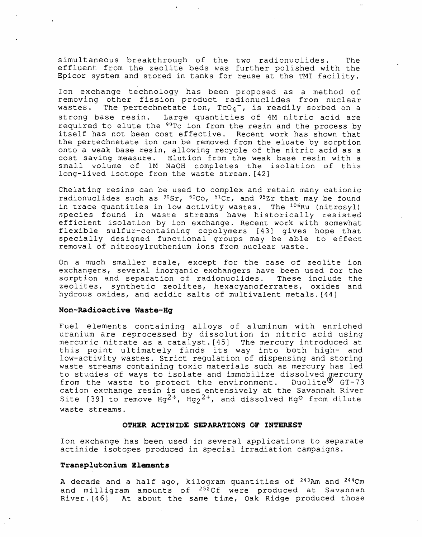simultaneous breakthrough of the two radionuclides. The effluent from the zeolite beds was further polished with the Epicor system and stored in tanks for reuse at the TMI facility.

Ion exchange technology has been proposed as a method of removing other fission product radionuclides from nuclear<br>wastes. The pertechnetate ion,  $TCO_A^-$ , is readily sorbed on a The pertechnetate ion,  $Tc04^-$ , is readily sorbed on a strong base resin. Large quantities of 4M nitric acid are required to elute the  $99Tc$  ion from the resin and the process by itself has not been cost effective. Recent work has shown that the pertechnetate ion can be removed from the eluate by sorption onto a weak base resin, allowing recycle of the nitric acid as a cost saving measure. Elution from the weak base resin with a small volume of lM NaOH completes the isolation of this long-lived isotope from the waste stream. [42]

Chelating resins can be used to complex and retain many cationic radionuclides such as  $90$ Sr,  $60C$ ,  $51Cr$ , and  $95Zr$  that may be found in trace quantities in low activity wastes. The :°6Ru (nitrosyl) species found in waste streams have historically resist efficient isolation by ion exchange. Recent work with somewhat flexible sulfur-containing copolymers [43] gives hope that specially designed functional groups may be able to effect removal of nitrosylruthenium ions from nuclear waste.

On a much smaller scale, except for the case of zeolite ion exchangers, several inorganic exchangers have been used for the sorption and separation of radionuclides. These include the zeolites, synthetic zeolites, hexacyanoferrates, oxides and hydrous oxides, and acidic salts of multivalent metals. [44]

# $Non-Radioactive$  Waste-Hg

Fuel elements containing alloys of aluminum with enriched uranium are reprocessed by dissolution in nitric acid using mercuric nitrate as a catalyst. [45] The mercury introduced at this point ultimately finds its way into both high- and low-activity wastes. Strict regulation of dispensing and storing waste streams containing toxic materials such as mercury has led<br>to studies of ways to isolate and immobilize dissolved mercury to studies of ways to isolate and immobilize dissolved\_ercury from the waste to protect the environment. Duolite GT-7 $\frac{3}{2}$ cation exchange resin is used entensively at the Savannah River Site [39] to remove  $Hg^{2+}$ ,  $Hg_2^{2+}$ , and dissolved  $Hg^{\circ}$  from dilute waste streams.

### **OTHE**R **ACTINI**DE **SEP**A**RATIONS OF INTER**E**ST**

Ion exchange has been used in several applications to separate actinide isotopes produced in special irradiation campaigns.

#### **Tran**s**pl**u**tonium** E**l**e**m**e**nt**s

A decade and a half ago, kilogram quantities of <sup>243</sup>Am and <sup>244</sup>Cm and milligram amounts of <sup>252</sup>Cf were produced at Savannan River. [46] At about the same time, Oak Ridge produced those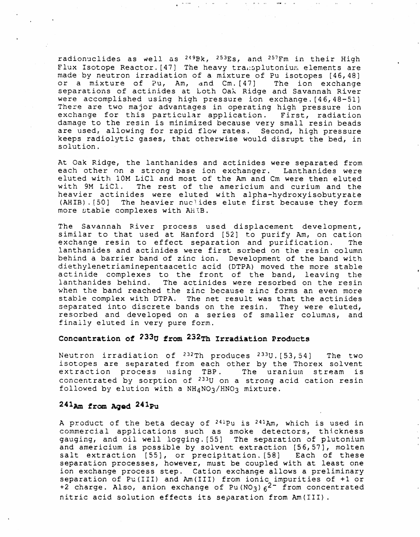radionuclides as well as  $^{249}Rk$ ,  $^{253}Es$ , and  $^{257}Fm$  in their High Flux Isotope Reactor. [47] The heavy transplutonium elements are made by neutron irradiation of a mixture of Pu isotopes  $[46, 48]$ <br>or a mixture of Pu, Am, and Cm.  $[47]$  The ion exchange or a mixture of Pu, Am, and Cm. [47] separations of actinides at Loth Oak Ridge and Savannah River were accomplished using high pressure ion exchange. [46,48-51] There are two major advantages in operating high pressure ion exchange for this particular application. First, radiation damage to the resin is minimized because very small resin beads are used, allowing for rapid flow rates. Second, high pressure keeps radiolytic gases, that otherwise would disrupt the bed, in solution.

At Oak Ridge, the lanthanides and actinides were separated from each other on a strong base ion exchanger. Lanthanides were eluted with 10M LiC1 and most of the Am and Cm were then eluted with 9M LiCl. The rest of the americium and curium and the heavier actinides were eluted with alpha-hydroxyisobutyrate (AHIB) .[50] The heavier nuclides elute first because they form more stable complexes with AHIB.

The Savannah River process used displacement development, similar to that used at Hanford [52] to purify Am, on cation<br>exchange resin to effect separation and purification. The exchange resin to effect separation and purification. lanthanides and actinides were first sorbed on the resin column behind a barrier band of zinc ion. Development of the band with diethylenetriaminepentaacetic acid (DTPA) moved the more stable actinide complexes to the front of the band, leaving the lanthanides behind. The actinides were resorbed on the resin The actinides were resorbed on the resin when the band reached the zinc because zinc for**m**s an even more stable complex with DTPA. The net result was that the actinides separated into discrete bands on the resin. They were eluted, resorbed and developed on a series of smaller columns, and finally eluted in very pure form.

# **Conc**a**ntrat**io**n** o**f** 2**33U fr**om **2**3**2Th Irrad**i**ation Pr**o**d**u**cts**

Neutron irradiation of 2-32Th produces 2\_3U**.** [53, 54] The two isotopes are separated from each other by the Thorex solvent<br>extraction process using TBP. The uranium stream is extraction process using TBP. concentrated by sorption of  $233U$  on a strong acid cation resin followed by elution with a  $NH_4NO_3/HNO_3$  mixture.

## **241A**m **from A**ge**d 2**4**1p**u

A product of the beta decay of  $^{241}$ Pu is  $^{241}$ Am, which is used in commercial applications such as smoke detectors, thickness gauging, and oil well logging. [55] The separation of plutonium and americium is possible by solvent extraction [56,57], molten salt extraction [55], or precipitation. [58] Each of these separation processes, however, must be coupled with at least one ion exchange process step. Cation exchange allows a preliminary separation of Pu(III) and Am(III) from ionic impurities of +I or +2 charge. Also, anion exchange of Pu(NO3)  $6^{2}$  from concentrated nitric acid solution effects its separation from Am(III).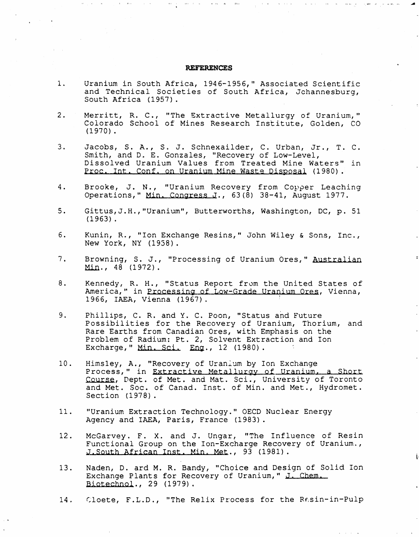### **REFERENCES**

 $\alpha$  , where  $\alpha$  is a set of the set of the set of the set of the set of the set of the set of  $\alpha$ 

 $\left\langle \mathbf{a}\right\rangle =\frac{1}{2}\left\langle \mathbf{a}\right\rangle -\left\langle \mathbf{a}\right\rangle -\left\langle \mathbf{a}\right\rangle -\left\langle \mathbf{a}\right\rangle -\left\langle \mathbf{a}\right\rangle \right\langle \mathbf{a}\right)$ 

i

- I. Uranium in South Africa, 1946-1956, " Associated Scientific and Technical Societies of South Africa, Jchannesburg, South Africa (1957) .
- 2. Merritt, R. C., "The Extractive Metallurgy of Uranium," Colorado School of' Mines Research Institute, Golden, CO  $(1970)$ .
- 3. Jacobs, S. A., S. J. Schnexailder, C. Urban, Jr., T. C. Smith, and D. E. Gonzales, "Recovery of Low-Level, Dissolved Uranium Values from Treated Mine Waters" in Proc. Int. Conf. on Uranium Mine Waste Disposal (1980).
- 4. Brooke, J. N., "Uranium Recovery from Copper Leaching Operations, " Min. Congress J., 63 (8) 38-41, August 1977.
- 5. Gittus,J.H.,"Uranium", Butterworths, Washington, DC, p. 51  $(1963)$ .
- 6. Kunin, R., "Ion Exchange Resins," John Wiley & Sons, Inc., New York, NY (1958) .
- 7. Browning, S. J., "Processing of Uranium Ores," Australian Min., 48 (1972).
- 8. Kennedy, R. H., "Status Report from the United States of America, " in Processing of Low-Grade Uranium Ores, Vienna, 1966, IAEA, Vienna (1967)**.**.
- 9. Phillips, C. R. and Y. C. Poon, "Status and Future Possibilities for the Recovery of Uranium, Thorium, and Rare Earths from Canadian Ores, with Emphasis on the Problem of Radium: Pt. 2, Solvent Extraction and Ion Excharge,"  $Min.$   $Sci.$   $Eng.$ , 12 (1980).
- I0. Himsley, A., "Recovery of Uranium by Ion Exchange Process, " in Extractive Metallurgy of Uranium. a Short Course, Dept. of Met. and Mat. Sci., University of Toronto and Met. Soc. of Canad. Inst. of Min. and Met., Hydromet. Section (1978).
- II. "Uranium Extraction Technology." OECD Nuclear Energy Agency and IAEA, Paris, France (1983).
- 12. McGarvey. F. X. and J. Ungar, "The Influence of Resin Functional Group on the Ion-Excharge Recovery of Uranium.,<br>J. South African Inst. Min. Met., 93 (1981).  $\frac{1}{\sqrt{2}}$
- 13. Naden, D. ard M. R. Bandy, "Choice and Design of Solid Ion Exchange Plants for Recovery of Uranium, " J. Chem. Biotechnol., 29 (1979).
- 14. Cloete, F.L.D., "The Relix Process for the Resin-in-Pulp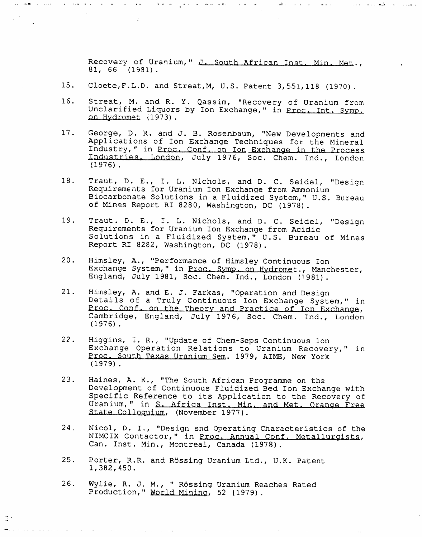Recovery of Uranium," J. South African Inst. Min. Met., 81, 66 (19Sl) .

the common service makes the contract of

15. Cloete,F.L.D. and Streat,M, U.S. Patent 3,551,118 (1970).

പ്പിക്കുന്ന പ്രവേശിച്ച് പ്രവേശിച്ചു. പ്രവേശിച്ച് പ്രവേശിച്ചു പ്രവേശിച്ചു പ്രവേശിച്ചു. പ്രവേശിച്ചു പ്രവേശിച്ചു<br>പ്രവേശിച്ചു പ്രവേശിച്ചു പ്രവേശിച്ചു പ്രവേശിച്ചു പ്രവേശിച്ചു പ്രവേശിച്ചു പ്രവേശിച്ചു പ്രവേശിച്ചു പ്രവേശിച്ചു പ്

- 16. Streat, M. and R. Y. Qassim, "Recovery of Uranium from Unclarified Liquors by Ion Exchange," in Proc. Int. Symp. on Hydromet (1973).
- 17. George, D. R. and J. B. Rosenbaum, "New Developments and Applications of Ion Exchange Techniques for the Mineral Industry," in Proc. Conf. on Ion Exchange in the Process Industries, London, July 1976, Soc. Chem. Ind., London (1976).
- 18. Traut, D. E., I. L. Nichols, and D. C. Seidel, "Design Requirements for Uranium Ion Exchange from Ammonium Biocarbonate Solutions in a Fluidized System," U.S. Bureau of Mines Report RI 8280, Washington, DC (1978).
- 19. Traut. D. E., I. L. Nichols, and D. C. Seidel, "Design Requirements for Uranium Ion Exchange from Acidic Solutions in a Fluidized System," U.S. Bureau of Mines Report RI 8282, Washington, DC (1978).
- 20. Himsley, A., "Performance of Himsley Continuous Ion Exchange System," in Proc. Symp. on Hydromet., Manchester, England, July 1981, Soc. Chem. Ind., London (1981).
- 21. Himsley, A. and E. J. Farkas, "Operation and Design Details of a Truly Continuous Ion Exchange System," in \_r\_f.. on tb\_\_J\_\_.\_aD\_h\_2\_\_C\_\_\_of Ion Exchalig\_\_, Cambridge, England, July 1976, Soc. Chem. Ind., London (1976).
- 22. Higgins, I. R.. "Update of Chem-Seps Continuous Ion Exchange Operation Relations to Uranium Recovery," in Proc. South Texas Uranium Sem. 1979, AIME, New York (1979).
- 23. Haines, A. K., "The South African Programme on the Development of Continuous Fluidized Bed Ion Exchange with<br>Specific Reference to its Application to the Recovery of Specific Reference to its Application to the Recovery of  $U$ ranium,  $\text{m}$   $\lambda$ . Alfica Inst. Min. and Met. Orange Free State Colloquium, (November 1977).
- 24. Nicol, D. I., "Design snd Operating Characteristics of the NIMCIX Contactor," in Proc. Annual Conf. Metallurgists, Can. Inst. Min., Montreal, Canada (1978).
- 25. Porter, R.R. and R@ssing Uranium Ltd., U.K. Patent i, 382,450.
- 26. Wylie, R. J. M., " Rössing Uranium Reaches Rated Production," World Mining, 52 (1979).

 $\frac{1}{2}$  .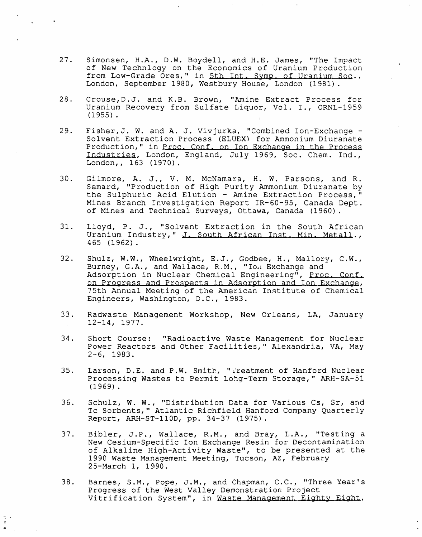- 27. Simonsen, H.A., D.W. Boydell, and H.E. James, "The Impact of New Technlogy on the Economics of Uranium Production from Low-Grade Ores," in 5th Int. Symp. of Uranium Soc., London, September 1980, Westbury House, London (1981).
- 28. Crouse, D.J. and K.B. Brown, "Amine Extract Process for Uranium Recovery from Sulfate Liquor, Vol. I., ORNL-1959  $(1955)$ .
- Fisher, J. W. and A. J. Vivjurka, "Combined Ion-Exchange -29. Solvent Extraction Process (ELUEX) for Ammonium Diuranate Production," in Proc. Conf. on Ion Exchange in the Process Industries, London, England, July 1969, Soc. Chem. Ind., London,, 163 (1970).
- Gilmore, A. J., V. M. McNamara, H. W. Parsons, and R. Semard, "Production of High Purity Ammonium Diuranate by  $30.$ the Sulphuric Acid Elution - Amine Extraction Process," Mines Branch Investigation Report IR-60-95, Canada Dept. of Mines and Technical Surveys, Ottawa, Canada (1960).
- Lloyd, P. J., "Solvent Extraction in the South African 31. Uranium Industry, " J. South African Inst. Min. Metall., 465 (1962).
- $32.$ Shulz, W.W., Wheelwright, E.J., Godbee, H., Mallory, C.W., Burney, G.A., and Wallace, R.M., "Ion Exchange and Adsorption in Nuclear Chemical Engineering", Proc. Conf. on Progress and Prospects in Adsorption and Ion Exchange, 75th Annual Meeting of the American Institute of Chemical Engineers, Washington, D.C., 1983.
- $33.$ Radwaste Management Workshop, New Orleans, LA, January  $12 - 14, 1977.$
- 34. Short Course: "Radioactive Waste Management for Nuclear Power Reactors and Other Facilities, " Alexandria, VA, May  $2-6, 1983.$
- $35.$ Larson, D.E. and P.W. Smith, "Wreatment of Hanford Nuclear Processing Wastes to Permit Lohg-Term Storage, " ARH-SA-51  $(1969)$ .
- Schulz, W. W., "Distribution Data for Various Cs, Sr, and 36. Tc Sorbents, " Atlantic Richfield Hanford Company Quarterly Report, ARH-ST-110D, pp. 34-37 (1975).
- $37.$ Bibler, J.P., Wallace, R.M., and Bray, L.A., "Testing a New Cesium-Specific Ion Exchange Resin for Decontamination of Alkaline High-Activity Waste", to be presented at the 1990 Waste Management Meeting, Tucson, AZ, February 25-March 1, 1990.
- $38.$ Barnes, S.M., Pope, J.M., and Chapman, C.C., "Three Year's Progress of the West Valley Demonstration Project Vitrification System", in Waste Management Eighty Eight,

 $\frac{1}{2}$  .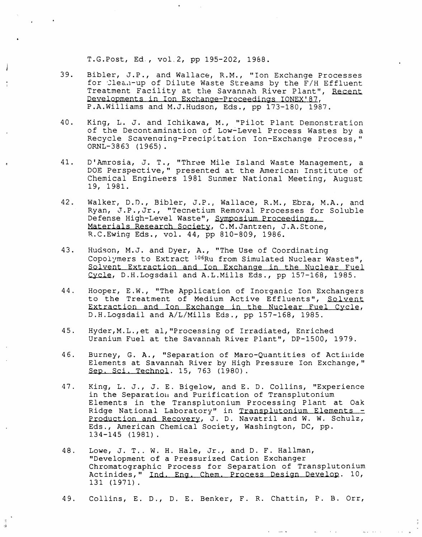T.G.Post, Ed , vol 2, pp 195-202, 1988.

p

I

- 39. Bibler, J.P., and Wallace, R.M., "Ion Exchange Processes for '3lean-up of Dilute Waste Streams by the F/H Effluent Treatment Facility at the Savannah River Plant", Recent Developments in Ion Exchange-Proceedings IONEX'87, P.A.Williams and M.J.Hudson, Eds., pp 173-180, 1987.
- 40. King, L. J. and Ichikawa, Mu, "Pilot Plant Demonstration of the Decontamination of Low-Level Process Wastes by a Recycle Scavenaing-Precipltation Ion-Exchange Process," ORNL-3863 (1965) .
- 41. D'Amrosia, J. T., "Three Mile Island Waste Management, a DOE Perspective," presented at the American Institute of Chemical Engineers 1981 Sunmer National Meeting, August 19, 1981.
- 42. Walker, D.D., Bibler, J.P., Wallace, R.M., Ebra, M.A., and Ryan, J.P.,Jr., "Tecnetium Removal Processes for Soluble Defense High-Level Waste", Symposium Proceedings, Materials Research Society, C.M.Jantzen, J.A.Stone, R.C.Ewing Eds., vol. 44, pp 810-809, 1986.
- 43. Hudson, M.J. and Dyer, A., "The Use of Coordinating Copolymers to Extract <sup>106</sup>Ru from Simulated Nuclear Wastes", Solvent Extraction and Ion Exchange in the Nuclear Fuel Cycle, D.H.Logsdail and A.L.MilIs Eds., pp 157-168, 1985.
- 44. Hooper, E.W., "The Application of Inorganic Ion Exchangers to the Treatment of Medium Active Effluents", Solvent Extraction and Ion Exchange in the Nuclear Fuel Cycle, D.H.Logsdail and A/L/Mills Eds., pp 157-168, 1985.
- 45. Hyder, M.L., et al, "Processing of Irradiated, Enriched Uranium Fuel at the Savannah River Plant", DP-1500, 1979.
- 46. Burney, G. A., "Separation of Maro-Quantities of Actinide Elements at Savannah River by High Pressure Ion Exchange," Sep. Sci. Technol. 15, 763 (1980).
- 47. King, L. J., J. E. Bigelow, and E. D. Collins, "Experience in the Separation and Purification of Transplutonium Elements in the Transplutonium Processing Plant at Oak Ridge National Laboratory" in <u>Transplutonium Flements -</u> Production and Recovery, J. D. Navatril and W. W. Schulz Eds., American Chemical Society, Washington, DC, pp. 1.34-145 (1981).
- 48. Lowe, J. T.. W. H. Hale, Jr., and D. F. Hallman, "Development of a Pressurized Cation Exchanger Chromatographic Process for Separation of Transplutonium Actinides," Ind. Eng. Chem. Process Design Develop. 10, 131 (1971).
- 49. Collins, E. D., D. E. Benker, F. R. Chattin, P. B. Orr,

 $\alpha$  is  $\alpha$  .

and the company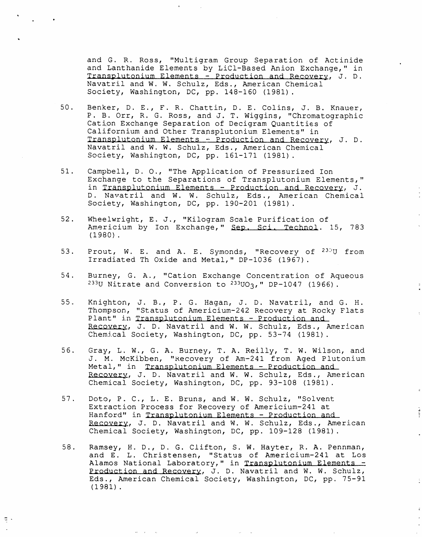and G. R. Ross, "Multigram Group Separation of Actinide and Lanthanide Elements by LiCI-Based Anion Exchange," in Transplutonium Elements - Production and Recovery, J. D. Navatril and W. W. Schulz, Eds., American Chemical Society, Washington, DC, pp. 148-160 (1981) .

50. Benker, D. E., F. R. Chattin, D. E. Colins, J. B. Knauer, P. B. Orr, R. G. Ross, and J. T. Wiggins, "Chromatographic Cation Exchange Separation of Decigram Quantities of Californium and Other Transplutonium Elements" in TransplutQnium Element8 - Production and \_cover\_v, J. D. Navatril and W. W. Schulz, Eds., American Chemical Society, Washington, DC, pp. 161-171 (1981).

o

 $\overline{z}$  .

- 51. Campbell, D. O., "The Application of Pressurized Ion Exchange to the Separations of Transplutonium Elements," in Transplutonium Elements - Production and Recovery, J. D. Navatril and W. W. Schulz, Eds., American Chemical Society, Washington, DC, pp. 190-201 (1981).
- 52. Wheelwright, E. J., "Kilogram Scale Purification of Americium by Ion Exchange, " Sep. Sci. Technol. 15, 783 (1980).
- 53. Prout, W. E. and A. E. Symonds, "Recovery of  $23\%$ U from Irradiated Th Oxide and Metal, " DP-1036 (1967)
- 54. Burney, G. A., "Cation Exchange Concentration of Aqueous  $233U$  Nitrate and Conversion to  $233UO<sub>3</sub>$ , "DP-1047 (1966).

 $\ddot{\rm{z}}$ 

 $\epsilon$ 

 $\pm$ 

- 55. Knighton, J. B., P. G. Hagan, J. D. Navatril, and G. H. Thompson, "Status of Americium-242 Recovery at Rocky Flats Plant" in Transplutonium Elements - Production and Recovery, J. D. Navatril and W. W. Schulz, Eds., American Chemical Society, Washington, DC, pp. 53-74 (1981).
- 56. Gray, L. W., G. A. Burney, T. A. Reilly, T. W. Wilson, and J. M. McKibben, "Recovery of Am-241 from Aged Plutonium Metal," in Transplutonium Elements - Production and Recovery, J. D. Navatril and W. W. Schulz, Eds., American Chemical Society, Washington, DC, pp. 93-108 (1981).
- 57. Doto, P. C., L. E. Bruns, and W. W. Schulz, "Solvent Extraction Process for Recovery of Americium-241 at Hanford" in Transplutonium Elements - Production and Recovery, J. D. Navatril and W. W. Schulz, Eds., American Chemical Society, Washington, DC, pp. 109-128 (1981).
- 58. Ramsey, H. D., D. G. Clifton, S. W. Hayter, R. A. Pennman, and E. L. Christensen, "Status of Americium-241 at Los Alamos National Laboratory," in Transplutonium Elements -Production and Recovery, J. D. Navatril and W. W. Schulz, Eds., kmerican Chemical Society, Washington, DC, pp. 75-91 (1981).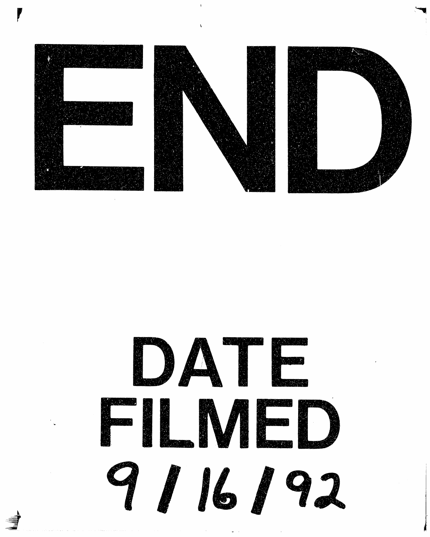